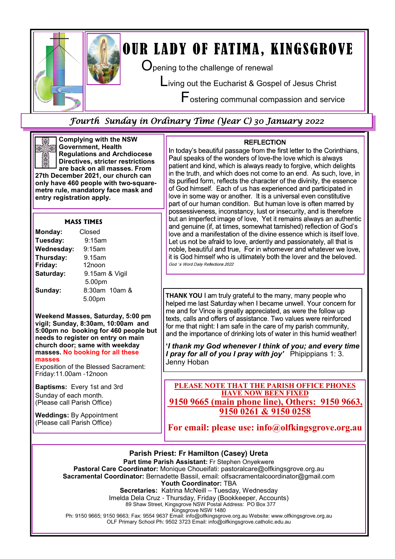

# OUR LADY OF FATIMA, KINGSGROVE

 $\mathbf O$  pening to the challenge of renewal

Living out the Eucharist & Gospel of Jesus Christ

Fostering communal compassion and service

# Fourth Sunday in Ordinary Time (Year C) 30 January 2022



Complying with the NSW Government, Health Regulations and Archdiocese Directives, stricter restrictions are back on all masses. From

27th December 2021, our church can only have 460 people with two**-**squaremetre rule, mandatory face mask and entry registration apply.

|  | <b>MASS TIMES</b> |
|--|-------------------|
|  |                   |

| Monday:    | Closed                 |
|------------|------------------------|
| Tuesday:   | $9:15$ am              |
| Wednesday: | $9:15$ am              |
| Thursday:  | 9.15am                 |
| Friday:    | 12noon                 |
| Saturday:  | 9.15am & Vigil         |
|            | 5.00pm                 |
| Sunday:    | $8:30$ am $10$ am $\&$ |
|            | 5.00pm                 |
|            |                        |

Weekend Masses, Saturday, 5:00 pm vigil; Sunday, 8:30am, 10:00am and 5:00pm no booking for 460 people but needs to register on entry on main church door; same with weekday masses. No booking for all these masses

Exposition of the Blessed Sacrament: Friday:11.00am -12noon

Baptisms: Every 1st and 3rd Sunday of each month. (Please call Parish Office)

Weddings: By Appointment (Please call Parish Office)

**REFLECTION** In today's beautiful passage from the first letter to the Corinthians. Paul speaks of the wonders of love-the love which is always patient and kind, which is always ready to forgive, which delights in the truth, and which does not come to an end. As such, love, in its purified form, reflects the character of the divinity, the essence of God himself. Each of us has experienced and participated in love in some way or another. It is a universal even constitutive part of our human condition. But human love is often marred by possessiveness, inconstancy, lust or insecurity, and is therefore but an imperfect image of love, Yet it remains always an authentic and genuine (if, at times, somewhat tarnished) reflection of God's love and a manifestation of the divine essence which is itself love. Let us not be afraid to love, ardently and passionately, all that is noble, beautiful and true, For in whomever and whatever we love, it is God himself who is ultimately both the lover and the beloved. God 's Word Daily Reflections 2022

**THANK YOU** I am truly grateful to the many, many people who helped me last Saturday when I became unwell. Your concern for me and for Vince is greatly appreciated, as were the follow up texts, calls and offers of assistance. Two values were reinforced for me that night: I am safe in the care of my parish community. and the importance of drinking lots of water in this humid weather!

'I thank my God whenever I think of you; and every time I pray for all of you I pray with joy' Phipippians 1: 3. Jenny Hoban

PLEASE NOTE THAT THE PARISH OFFICE PHONES HAVE NOW BEEN FIXED 9150 9665 (main phone line), Others: 9150 9663, 9150 0261 & 9150 0258

For email: please use: info@olfkingsgrove.org.au

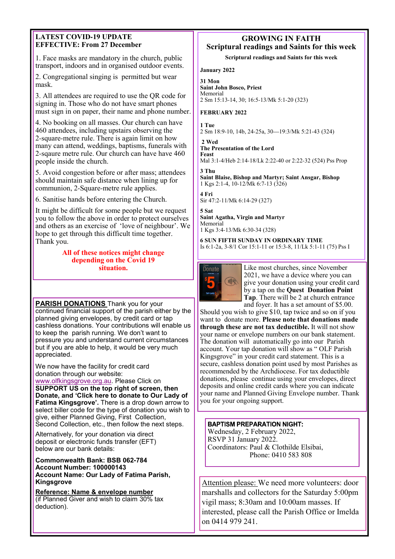## LATEST COVID**-**19 UPDATE EFFECTIVE: From 27 December

1. Face masks are mandatory in the church, public transport, indoors and in organised outdoor events.

2. Congregational singing is permitted but wear mask.

3. All attendees are required to use the QR code for signing in. Those who do not have smart phones must sign in on paper, their name and phone number.

4. No booking on all masses. Our church can have 460 attendees, including upstairs observing the 2-square-metre rule. There is again limit on how many can attend, weddings, baptisms, funerals with 2-sqaure metre rule. Our church can have have 460 people inside the church.

5. Avoid congestion before or after mass; attendees should maintain safe distance when lining up for communion, 2-Square-metre rule applies.

6. Sanitise hands before entering the Church.

It might be difficult for some people but we request you to follow the above in order to protect ourselves and others as an exercise of 'love of neighbour'. We hope to get through this difficult time together. Thank you.

#### All of these notices might change depending on the Covid 19 situation.

PARISH DONATIONS Thank you for your continued financial support of the parish either by the planned giving envelopes, by credit card or tap cashless donations. Your contributions will enable us to keep the parish running. We don't want to pressure you and understand current circumstances but if you are able to help, it would be very much appreciated.

We now have the facility for credit card donation through our website: www.olfkingsgrove.org.au. Please Click on

SUPPORT US on the top right of screen, then Donate, and 'Click here to donate to Our Lady of Fatima Kingsgrove'. There is a drop down arrow to select biller code for the type of donation you wish to give, either Planned Giving, First Collection, Second Collection, etc., then follow the next steps.

Alternatively, for your donation via direct deposit or electronic funds transfer (EFT) below are our bank details:

Commonwealth Bank: BSB 062**-**784 Account Number: 100000143 Account Name: Our Lady of Fatima Parish, Kingsgrove

Reference: Name & envelope number (if Planned Giver and wish to claim 30% tax deduction).

## GROWING IN FAITH Scriptural readings and Saints for this week

Scriptural readings and Saints for this week

January 2022

31 Mon Saint John Bosco, Priest Memorial 2 Sm 15:13-14, 30; 16:5-13/Mk 5:1-20 (323)

### FEBRUARY 2022

1 Tue 2 Sm 18:9-10, 14b, 24-25a, 30—19:3/Mk 5:21-43 (324)

2 Wed The Presentation of the Lord

Feast Mal 3:1-4/Heb 2:14-18/Lk 2:22-40 or 2:22-32 (524) Pss Prop

3 Thu Saint Blaise, Bishop and Martyr; Saint Ansgar, Bishop 1 Kgs 2:1-4, 10-12/Mk 6:7-13 (326)

4 Fri Sir 47:2-11/Mk 6:14-29 (327)

5 Sat Saint Agatha, Virgin and Martyr Memorial 1 Kgs 3:4-13/Mk 6:30-34 (328)

6 SUN FIFTH SUNDAY IN ORDINARY TIME Is 6:1-2a, 3-8/1 Cor 15:1-11 or 15:3-8, 11/Lk 5:1-11 (75) Pss I



Like most churches, since November 2021, we have a device where you can give your donation using your credit card by a tap on the Quest Donation Point Tap. There will be 2 at church entrance and foyer. It has a set amount of \$5.00.

Should you wish to give \$10, tap twice and so on if you want to donate more. Please note that donations made through these are not tax deductible. It will not show your name or envelope numbers on our bank statement. The donation will automatically go into our Parish account. Your tap donation will show as " OLF Parish Kingsgrove" in your credit card statement. This is a secure, cashless donation point used by most Parishes as recommended by the Archdiocese. For tax deductible donations, please continue using your envelopes, direct deposits and online credit cards where you can indicate your name and Planned Giving Envelope number. Thank you for your ongoing support.

**BAPTISM PREPARATION NIGHT:** Wednesday, 2 February 2022, RSVP 31 January 2022. Coordinators: Paul & Clothilde Elsibai, Phone: 0410 583 808

Attention please: We need more volunteers: door marshalls and collectors for the Saturday 5:00pm vigil mass; 8:30am and 10:00am masses. If interested, please call the Parish Office or Imelda on 0414 979 241.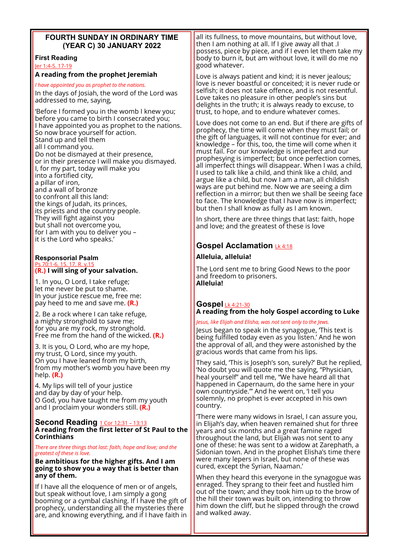## FOURTH SUNDAY IN ORDINARY TIME (YEAR C) 30 JANUARY 2022

## First Reading

#### Jer 1:4-5. 17-19

## A reading from the prophet Jeremiah

I have appointed you as prophet to the nations. In the days of Josiah, the word of the Lord was addressed to me, saying,

'Before I formed you in the womb I knew you; before you came to birth I consecrated you; I have appointed you as prophet to the nations. So now brace yourself for action. Stand up and tell them all I command you. Do not be dismayed at their presence, or in their presence I will make you dismayed. I, for my part, today will make you into a fortified city, a pillar of iron, and a wall of bronze to confront all this land: the kings of Judah, its princes, its priests and the country people. They will fight against you but shall not overcome you, for I am with you to deliver you – it is the Lord who speaks.'

#### Responsorial Psalm Ps 70:1-6. 15. 17. R. v.15 (R.) I will sing of your salvation.

1. In you, O Lord, I take refuge; let me never be put to shame. In your justice rescue me, free me: pay heed to me and save me.  $(R.)$ 

2. Be a rock where I can take refuge, a mighty stronghold to save me; for you are my rock, my stronghold. Free me from the hand of the wicked.  $(R.)$ 

3. It is you, O Lord, who are my hope, my trust, O Lord, since my youth. On you I have leaned from my birth, from my mother's womb you have been my help. (R.)

4. My lips will tell of your justice and day by day of your help. O God, you have taught me from my youth and I proclaim your wonders still.  $(R.)$ 

### **Second Reading 1 Cor 12:31 - 13:13** A reading from the first letter of St Paul to the **Corinthians**

#### There are three things that last: faith, hope and love; and the greatest of these is love.

#### Be ambitious for the higher gifts. And I am going to show you a way that is better than any of them.

If I have all the eloquence of men or of angels, but speak without love, I am simply a gong booming or a cymbal clashing. If I have the gift of prophecy, understanding all the mysteries there are, and knowing everything, and if I have faith in all its fullness, to move mountains, but without love, then I am nothing at all. If I give away all that .I possess, piece by piece, and if I even let them take my body to burn it, but am without love, it will do me no good whatever.

Love is always patient and kind; it is never jealous; love is never boastful or conceited; it is never rude or selfish; it does not take offence, and is not resentful. Love takes no pleasure in other people's sins but delights in the truth; it is always ready to excuse, to trust, to hope, and to endure whatever comes.

Love does not come to an end. But if there are gifts of prophecy, the time will come when they must fail; or the gift of languages, it will not continue for ever; and knowledge – for this, too, the time will come when it must fail. For our knowledge is imperfect and our prophesying is imperfect; but once perfection comes, all imperfect things will disappear. When I was a child, I used to talk like a child, and think like a child, and argue like a child, but now I am a man, all childish ways are put behind me. Now we are seeing a dim reflection in a mirror; but then we shall be seeing face to face. The knowledge that I have now is imperfect; but then I shall know as fully as I am known.

In short, there are three things that last: faith, hope and love; and the greatest of these is love

## Gospel Acclamation Lk 4:18

## Alleluia, alleluia!

The Lord sent me to bring Good News to the poor and freedom to prisoners. Alleluia!

#### **Gospel LK 4:21-30** A reading from the holy Gospel according to Luke

Jesus, like Elijah and Elisha, was not sent only to the Jews.

Jesus began to speak in the synagogue, 'This text is being fulfilled today even as you listen.' And he won the approval of all, and they were astonished by the gracious words that came from his lips.

They said, 'This is Joseph's son, surely?' But he replied, 'No doubt you will quote me the saying, "Physician, heal yourself" and tell me, "We have heard all that happened in Capernaum, do the same here in your own countryside."' And he went on, 'I tell you solemnly, no prophet is ever accepted in his own country.

'There were many widows in Israel, I can assure you, in Elijah's day, when heaven remained shut for three years and six months and a great famine raged throughout the land, but Elijah was not sent to any one of these: he was sent to a widow at Zarephath, a Sidonian town. And in the prophet Elisha's time there were many lepers in Israel, but none of these was cured, except the Syrian, Naaman.'

When they heard this everyone in the synagogue was enraged. They sprang to their feet and hustled him out of the town; and they took him up to the brow of the hill their town was built on, intending to throw him down the cliff, but he slipped through the crowd and walked away.